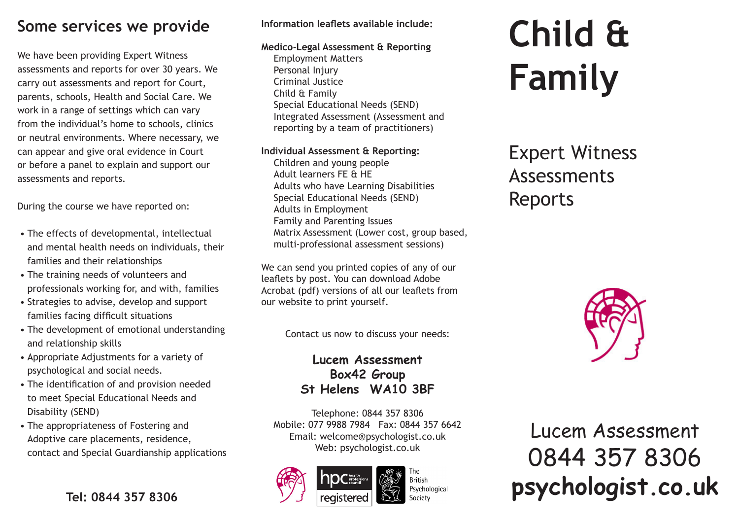### **Some services we provide**

We have been providing Expert Witness assessments and reports for over 30 years. We carry out assessments and report for Court, parents, schools, Health and Social Care. We work in a range of settings which can vary from the individual's home to schools, clinics or neutral environments. Where necessary, we can appear and give oral evidence in Court or before a panel to explain and support our assessments and reports.

During the course we have reported on:

- The effects of developmental, intellectual and mental health needs on individuals, their families and their relationships
- The training needs of volunteers and professionals working for, and with, families
- Strategies to advise, develop and support families facing difficult situations
- The development of emotional understanding and relationship skills
- Appropriate Adjustments for a variety of psychological and social needs.
- The identification of and provision needed to meet Special Educational Needs and Disability (SEND)
- The appropriateness of Fostering and Adoptive care placements, residence, contact and Special Guardianship applications

### **Information leaflets available include:**

### **Medico-Legal Assessment & Reporting**

Employment Matters Personal Injury Criminal Justice Child & Family Special Educational Needs (SEND) Integrated Assessment (Assessment and reporting by a team of practitioners)

### **Individual Assessment & Reporting:**

Children and young people Adult learners FE & HE Adults who have Learning Disabilities Special Educational Needs (SEND) Adults in Employment Family and Parenting Issues Matrix Assessment (Lower cost, group based, multi-professional assessment sessions)

We can send you printed copies of any of our leaflets by post. You can download Adobe Acrobat (pdf) versions of all our leaflets from our website to print yourself.

Contact us now to discuss your needs:

### **Lucem Assessment Box42 Group St Helens WA10 3BF**

Telephone: 0844 357 8306 Mobile: 077 9988 7984 Fax: 0844 357 6642 Email: welcome@psychologist.co.uk Web: psychologist.co.uk





# **Child & Family**

## Expert Witness Assessments Reports



Lucem Assessment 0844 357 8306 **psychologist.co.uk Tel: 0844 357 8306 Side Reserved Secrets Specially and Society PSychological**